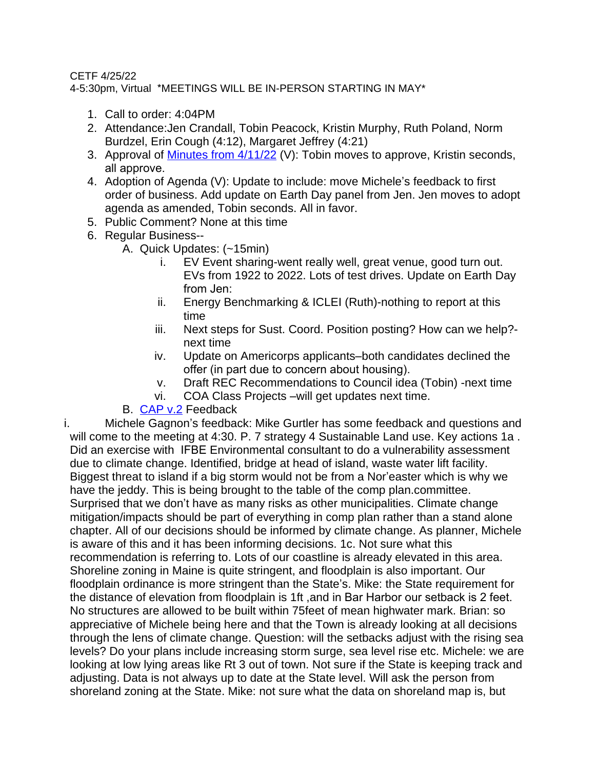## CETF 4/25/22

4-5:30pm, Virtual \*MEETINGS WILL BE IN-PERSON STARTING IN MAY\*

- 1. Call to order: 4:04PM
- 2. Attendance:Jen Crandall, Tobin Peacock, Kristin Murphy, Ruth Poland, Norm Burdzel, Erin Cough (4:12), Margaret Jeffrey (4:21)
- 3. Approval of Minutes from  $4/11/22$  (V): Tobin moves to approve, Kristin seconds, all approve.
- 4. Adoption of Agenda (V): Update to include: move Michele's feedback to first order of business. Add update on Earth Day panel from Jen. Jen moves to adopt agenda as amended, Tobin seconds. All in favor.
- 5. Public Comment? None at this time
- 6. Regular Business--
	- A. Quick Updates: (~15min)
		- i. EV Event sharing-went really well, great venue, good turn out. EVs from 1922 to 2022. Lots of test drives. Update on Earth Day from Jen:
		- ii. Energy Benchmarking & ICLEI (Ruth)-nothing to report at this time
		- iii. Next steps for Sust. Coord. Position posting? How can we help? next time
		- iv. Update on Americorps applicants–both candidates declined the offer (in part due to concern about housing).
		- v. Draft REC Recommendations to Council idea (Tobin) -next time
		- vi. COA Class Projects –will get updates next time.

## B. [CAP v.2](https://docs.google.com/document/d/1Dqf5YVBfBsVI1CJrTnJdY57DPr6K4zH0_xd1S74JyJQ/edit) Feedback

i. Michele Gagnon's feedback: Mike Gurtler has some feedback and questions and will come to the meeting at 4:30. P. 7 strategy 4 Sustainable Land use. Key actions 1a. Did an exercise with IFBE Environmental consultant to do a vulnerability assessment due to climate change. Identified, bridge at head of island, waste water lift facility. Biggest threat to island if a big storm would not be from a Nor'easter which is why we have the jeddy. This is being brought to the table of the comp plan.committee. Surprised that we don't have as many risks as other municipalities. Climate change mitigation/impacts should be part of everything in comp plan rather than a stand alone chapter. All of our decisions should be informed by climate change. As planner, Michele is aware of this and it has been informing decisions. 1c. Not sure what this recommendation is referring to. Lots of our coastline is already elevated in this area. Shoreline zoning in Maine is quite stringent, and floodplain is also important. Our floodplain ordinance is more stringent than the State's. Mike: the State requirement for the distance of elevation from floodplain is 1ft ,and in Bar Harbor our setback is 2 feet. No structures are allowed to be built within 75feet of mean highwater mark. Brian: so appreciative of Michele being here and that the Town is already looking at all decisions through the lens of climate change. Question: will the setbacks adjust with the rising sea levels? Do your plans include increasing storm surge, sea level rise etc. Michele: we are looking at low lying areas like Rt 3 out of town. Not sure if the State is keeping track and adjusting. Data is not always up to date at the State level. Will ask the person from shoreland zoning at the State. Mike: not sure what the data on shoreland map is, but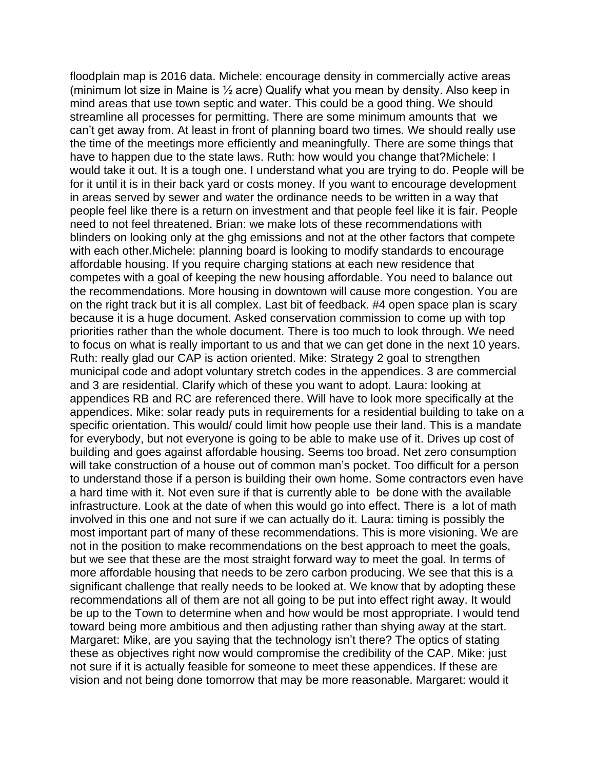floodplain map is 2016 data. Michele: encourage density in commercially active areas (minimum lot size in Maine is ½ acre) Qualify what you mean by density. Also keep in mind areas that use town septic and water. This could be a good thing. We should streamline all processes for permitting. There are some minimum amounts that we can't get away from. At least in front of planning board two times. We should really use the time of the meetings more efficiently and meaningfully. There are some things that have to happen due to the state laws. Ruth: how would you change that?Michele: I would take it out. It is a tough one. I understand what you are trying to do. People will be for it until it is in their back yard or costs money. If you want to encourage development in areas served by sewer and water the ordinance needs to be written in a way that people feel like there is a return on investment and that people feel like it is fair. People need to not feel threatened. Brian: we make lots of these recommendations with blinders on looking only at the ghg emissions and not at the other factors that compete with each other.Michele: planning board is looking to modify standards to encourage affordable housing. If you require charging stations at each new residence that competes with a goal of keeping the new housing affordable. You need to balance out the recommendations. More housing in downtown will cause more congestion. You are on the right track but it is all complex. Last bit of feedback. #4 open space plan is scary because it is a huge document. Asked conservation commission to come up with top priorities rather than the whole document. There is too much to look through. We need to focus on what is really important to us and that we can get done in the next 10 years. Ruth: really glad our CAP is action oriented. Mike: Strategy 2 goal to strengthen municipal code and adopt voluntary stretch codes in the appendices. 3 are commercial and 3 are residential. Clarify which of these you want to adopt. Laura: looking at appendices RB and RC are referenced there. Will have to look more specifically at the appendices. Mike: solar ready puts in requirements for a residential building to take on a specific orientation. This would/ could limit how people use their land. This is a mandate for everybody, but not everyone is going to be able to make use of it. Drives up cost of building and goes against affordable housing. Seems too broad. Net zero consumption will take construction of a house out of common man's pocket. Too difficult for a person to understand those if a person is building their own home. Some contractors even have a hard time with it. Not even sure if that is currently able to be done with the available infrastructure. Look at the date of when this would go into effect. There is a lot of math involved in this one and not sure if we can actually do it. Laura: timing is possibly the most important part of many of these recommendations. This is more visioning. We are not in the position to make recommendations on the best approach to meet the goals, but we see that these are the most straight forward way to meet the goal. In terms of more affordable housing that needs to be zero carbon producing. We see that this is a significant challenge that really needs to be looked at. We know that by adopting these recommendations all of them are not all going to be put into effect right away. It would be up to the Town to determine when and how would be most appropriate. I would tend toward being more ambitious and then adjusting rather than shying away at the start. Margaret: Mike, are you saying that the technology isn't there? The optics of stating these as objectives right now would compromise the credibility of the CAP. Mike: just not sure if it is actually feasible for someone to meet these appendices. If these are vision and not being done tomorrow that may be more reasonable. Margaret: would it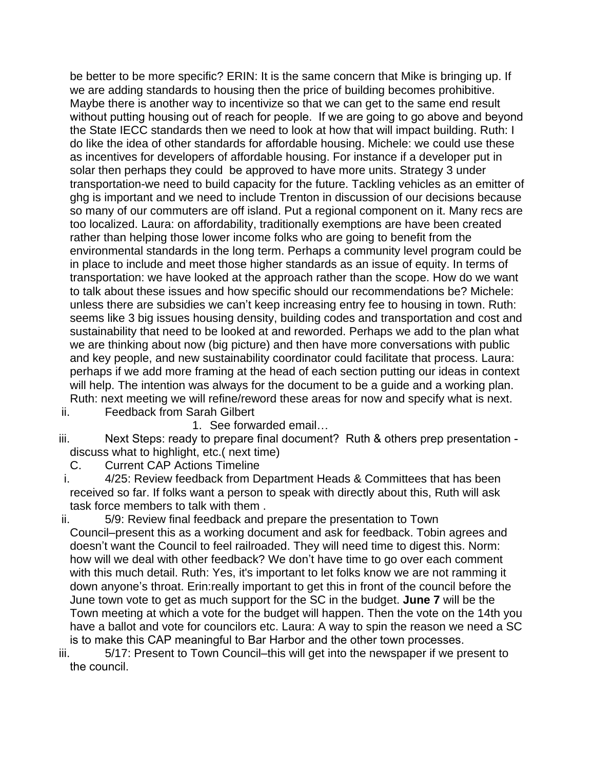be better to be more specific? ERIN: It is the same concern that Mike is bringing up. If we are adding standards to housing then the price of building becomes prohibitive. Maybe there is another way to incentivize so that we can get to the same end result without putting housing out of reach for people. If we are going to go above and beyond the State IECC standards then we need to look at how that will impact building. Ruth: I do like the idea of other standards for affordable housing. Michele: we could use these as incentives for developers of affordable housing. For instance if a developer put in solar then perhaps they could be approved to have more units. Strategy 3 under transportation-we need to build capacity for the future. Tackling vehicles as an emitter of ghg is important and we need to include Trenton in discussion of our decisions because so many of our commuters are off island. Put a regional component on it. Many recs are too localized. Laura: on affordability, traditionally exemptions are have been created rather than helping those lower income folks who are going to benefit from the environmental standards in the long term. Perhaps a community level program could be in place to include and meet those higher standards as an issue of equity. In terms of transportation: we have looked at the approach rather than the scope. How do we want to talk about these issues and how specific should our recommendations be? Michele: unless there are subsidies we can't keep increasing entry fee to housing in town. Ruth: seems like 3 big issues housing density, building codes and transportation and cost and sustainability that need to be looked at and reworded. Perhaps we add to the plan what we are thinking about now (big picture) and then have more conversations with public and key people, and new sustainability coordinator could facilitate that process. Laura: perhaps if we add more framing at the head of each section putting our ideas in context will help. The intention was always for the document to be a guide and a working plan. Ruth: next meeting we will refine/reword these areas for now and specify what is next.

ii. Feedback from Sarah Gilbert

1. See forwarded email…

- iii. Next Steps: ready to prepare final document? Ruth & others prep presentation discuss what to highlight, etc.( next time)
	- C. Current CAP Actions Timeline
- i. 4/25: Review feedback from Department Heads & Committees that has been received so far. If folks want a person to speak with directly about this, Ruth will ask task force members to talk with them .
- ii. 5/9: Review final feedback and prepare the presentation to Town Council–present this as a working document and ask for feedback. Tobin agrees and doesn't want the Council to feel railroaded. They will need time to digest this. Norm: how will we deal with other feedback? We don't have time to go over each comment with this much detail. Ruth: Yes, it's important to let folks know we are not ramming it down anyone's throat. Erin:really important to get this in front of the council before the June town vote to get as much support for the SC in the budget. **June 7** will be the Town meeting at which a vote for the budget will happen. Then the vote on the 14th you have a ballot and vote for councilors etc. Laura: A way to spin the reason we need a SC is to make this CAP meaningful to Bar Harbor and the other town processes.
- iii. 5/17: Present to Town Council–this will get into the newspaper if we present to the council.